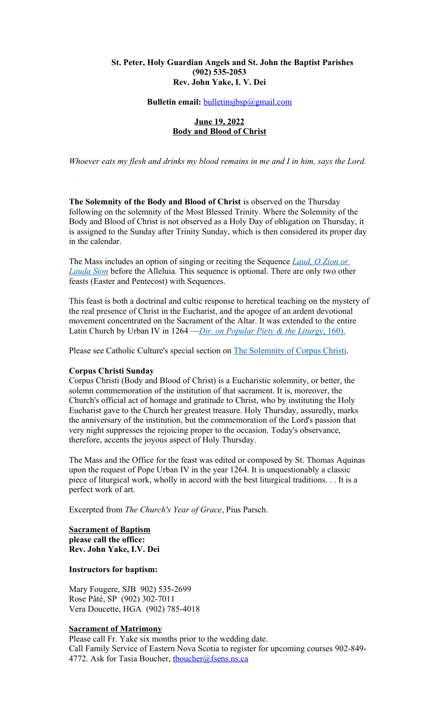#### **St. Peter, Holy Guardian Angels and St. John the Baptist Parishes (902) 535-2053 Rev. John Yake, I. V. Dei**

# **Bulletin email:** [bulletinsjbsp@gmail.com](mailto:bulletinsjbsp@gmail.com)

#### **June 19, 2022 Body and Blood of Christ**

*Whoever eats my flesh and drinks my blood remains in me and I in him, says the Lord.*

**The Solemnity of the Body and Blood of Christ** is observed on the Thursday following on the solemnity of the Most Blessed Trinity. Where the Solemnity of the Body and Blood of Christ is not observed as a Holy Day of obligation on Thursday, it is assigned to the Sunday after Trinity Sunday, which is then considered its proper day in the calendar.

The Mass includes an option of singing or reciting the Sequence *[Laud, O Zion or](https://www.catholicculture.org/culture/liturgicalyear/prayers/view.cfm?id=1500)  [Lauda Sion](https://www.catholicculture.org/culture/liturgicalyear/prayers/view.cfm?id=1500)* before the Alleluia. This sequence is optional. There are only two other feasts (Easter and Pentecost) with Sequences.

This feast is both a doctrinal and cultic response to heretical teaching on the mystery of the real presence of Christ in the Eucharist, and the apogee of an ardent devotional movement concentrated on the Sacrament of the Altar. It was extended to the entire Latin Church by Urban IV in 1264 —*Dir. on Popular Piety & the Liturgy*, 160).

Please see Catholic Culture's special section on [The Solemnity of Corpus Christi.](https://www.catholicculture.org/culture/liturgicalyear/overviews/feasts/corpus_christi/)

#### **Corpus Christi Sunday**

Corpus Christi (Body and Blood of Christ) is a Eucharistic solemnity, or better, the solemn commemoration of the institution of that sacrament. It is, moreover, the Church's official act of homage and gratitude to Christ, who by instituting the Holy Eucharist gave to the Church her greatest treasure. Holy Thursday, assuredly, marks the anniversary of the institution, but the commemoration of the Lord's passion that very night suppresses the rejoicing proper to the occasion. Today's observance, therefore, accents the joyous aspect of Holy Thursday.

The Mass and the Office for the feast was edited or composed by St. Thomas Aquinas upon the request of Pope Urban IV in the year 1264. It is unquestionably a classic piece of liturgical work, wholly in accord with the best liturgical traditions. . . It is a perfect work of art.

Excerpted from *The Church's Year of Grace*, Pius Parsch.

#### **Sacrament of Baptism please call the office: Rev. John Yake, I.V. Dei**

# **Instructors for baptism:**

Mary Fougere, SJB 902) 535-2699 Rose Pâté, SP (902) 302-7011 Vera Doucette, HGA (902) 785-4018

#### **Sacrament of Matrimony**

Please call Fr. Yake six months prior to the wedding date. Call Family Service of Eastern Nova Scotia to register for upcoming courses 902-849- 4772. Ask for Tasia Boucher, thoucher@fsens.ns.ca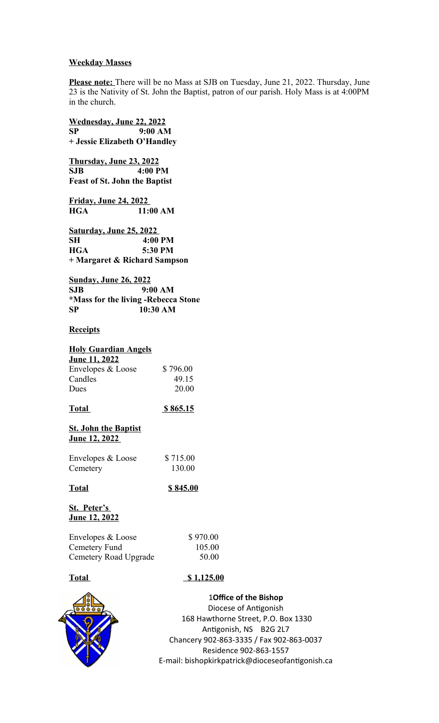#### **Weekday Masses**

**Please note:** There will be no Mass at SJB on Tuesday, June 21, 2022. Thursday, June 23 is the Nativity of St. John the Baptist, patron of our parish. Holy Mass is at 4:00PM in the church.

**Wednesday, June 22, 2022 SP 9:00 AM + Jessie Elizabeth O'Handley Thursday, June 23, 2022 SJB 4:00 PM Feast of St. John the Baptist Friday, June 24, 2022 HGA 11:00 AM Saturday, June 25, 2022 SH 4:00 PM HGA 5:30 PM + Margaret & Richard Sampson Sunday, June 26, 2022 SJB 9:00 AM \*Mass for the living -Rebecca Stone SP 10:30 AM Receipts Holy Guardian Angels June 11, 2022** Envelopes & Loose \$796.00 Candles 49.15 Dues 20.00 **Total \$ 865.15 St. John the Baptist June 12, 2022**  Envelopes & Loose \$715.00 Cemetery 130.00 **Total \$ 845.00 St. Peter's June 12, 2022** Envelopes & Loose \$970.00 Cemetery Fund 105.00 Cemetery Road Upgrade 50.00 **Total 5 1,125.00** 

**10ffice of the Bishop** Diocese of Antigonish 168 Hawthorne Street, P.O. Box 1330 Antigonish, NS B2G 2L7 Chancery 902-863-3335 / Fax 902-863-0037 Residence 902-863-1557 E-mail: bishopkirkpatrick@dioceseofantigonish.ca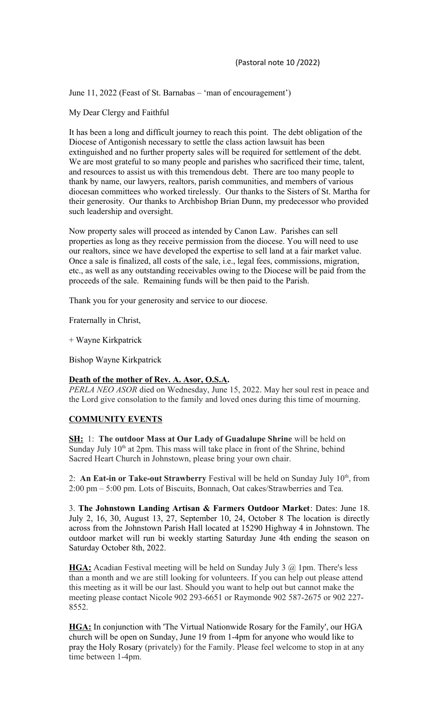June 11, 2022 (Feast of St. Barnabas – 'man of encouragement')

My Dear Clergy and Faithful

It has been a long and difficult journey to reach this point. The debt obligation of the Diocese of Antigonish necessary to settle the class action lawsuit has been extinguished and no further property sales will be required for settlement of the debt. We are most grateful to so many people and parishes who sacrificed their time, talent, and resources to assist us with this tremendous debt. There are too many people to thank by name, our lawyers, realtors, parish communities, and members of various diocesan committees who worked tirelessly. Our thanks to the Sisters of St. Martha for their generosity. Our thanks to Archbishop Brian Dunn, my predecessor who provided such leadership and oversight.

Now property sales will proceed as intended by Canon Law. Parishes can sell properties as long as they receive permission from the diocese. You will need to use our realtors, since we have developed the expertise to sell land at a fair market value. Once a sale is finalized, all costs of the sale, i.e., legal fees, commissions, migration, etc., as well as any outstanding receivables owing to the Diocese will be paid from the proceeds of the sale. Remaining funds will be then paid to the Parish.

Thank you for your generosity and service to our diocese.

Fraternally in Christ,

+ Wayne Kirkpatrick

Bishop Wayne Kirkpatrick

# **Death of the mother of Rev. A. Asor, O.S.A.**

*PERLA NEO ASOR* died on Wednesday, June 15, 2022. May her soul rest in peace and the Lord give consolation to the family and loved ones during this time of mourning.

# **COMMUNITY EVENTS**

**SH:** 1: **The outdoor Mass at Our Lady of Guadalupe Shrine** will be held on Sunday July  $10<sup>th</sup>$  at 2pm. This mass will take place in front of the Shrine, behind Sacred Heart Church in Johnstown, please bring your own chair.

2: **An Eat-in or Take-out Strawberry** Festival will be held on Sunday July 10<sup>th</sup>, from 2:00 pm – 5:00 pm. Lots of Biscuits, Bonnach, Oat cakes/Strawberries and Tea.

3. **The Johnstown Landing Artisan & Farmers Outdoor Market**: Dates: June 18. July 2, 16, 30, August 13, 27, September 10, 24, October 8 The location is directly across from the Johnstown Parish Hall located at 15290 Highway 4 in Johnstown. The outdoor market will run bi weekly starting Saturday June 4th ending the season on Saturday October 8th, 2022.

**HGA:** Acadian Festival meeting will be held on Sunday July 3 @ 1pm. There's less than a month and we are still looking for volunteers. If you can help out please attend this meeting as it will be our last. Should you want to help out but cannot make the meeting please contact Nicole 902 293-6651 or Raymonde 902 587-2675 or 902 227- 8552.

**HGA:** In conjunction with 'The Virtual Nationwide Rosary for the Family', our HGA church will be open on Sunday, June 19 from 1-4pm for anyone who would like to pray the Holy Rosary (privately) for the Family. Please feel welcome to stop in at any time between 1-4pm.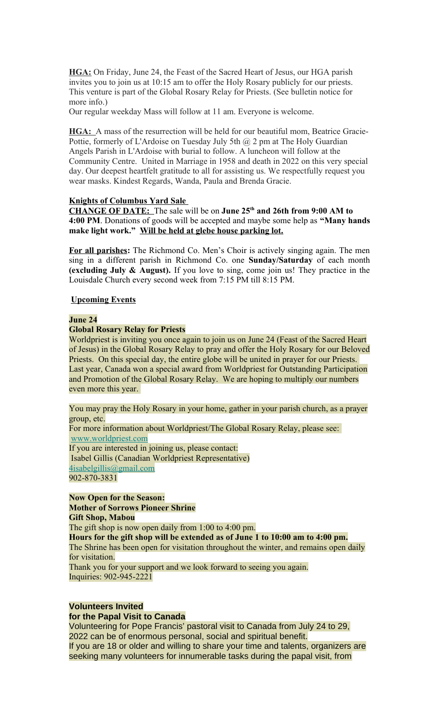**HGA:** On Friday, June 24, the Feast of the Sacred Heart of Jesus, our HGA parish invites you to join us at 10:15 am to offer the Holy Rosary publicly for our priests. This venture is part of the Global Rosary Relay for Priests. (See bulletin notice for more info.)

Our regular weekday Mass will follow at 11 am. Everyone is welcome.

**HGA:** A mass of the resurrection will be held for our beautiful mom, Beatrice Gracie-Pottie, formerly of L'Ardoise on Tuesday July 5th  $(a)$  2 pm at The Holy Guardian Angels Parish in L'Ardoise with burial to follow. A luncheon will follow at the Community Centre. United in Marriage in 1958 and death in 2022 on this very special day. Our deepest heartfelt gratitude to all for assisting us. We respectfully request you wear masks. Kindest Regards, Wanda, Paula and Brenda Gracie.

# **Knights of Columbus Yard Sale**

**CHANGE OF DATE:** The sale will be on **June 25th and 26th from 9:00 AM to 4:00 PM**. Donations of goods will be accepted and maybe some help as **"Many hands make light work." Will be held at glebe house parking lot.**

**For all parishes:** The Richmond Co. Men's Choir is actively singing again. The men sing in a different parish in Richmond Co. one **Sunday/Saturday** of each month **(excluding July & August).** If you love to sing, come join us! They practice in the Louisdale Church every second week from 7:15 PM till 8:15 PM.

# **Upcoming Events**

#### **June 24**

#### **Global Rosary Relay for Priests**

Worldpriest is inviting you once again to join us on June 24 (Feast of the Sacred Heart of Jesus) in the Global Rosary Relay to pray and offer the Holy Rosary for our Beloved Priests. On this special day, the entire globe will be united in prayer for our Priests. Last year, Canada won a special award from Worldpriest for Outstanding Participation and Promotion of the Global Rosary Relay. We are hoping to multiply our numbers even more this year.

You may pray the Holy Rosary in your home, gather in your parish church, as a prayer group, etc.

For more information about Worldpriest/The Global Rosary Relay, please see: [www.worldpriest.com](https://antigonishdiocese.us11.list-manage.com/track/click?u=46108c95b96680ff598b4aa1d&id=4f9fab1a7e&e=60939d450d)

If you are interested in joining us, please contact: Isabel Gillis (Canadian Worldpriest Representative) [4isabelgillis@gmail.com](mailto:4isabelgillis@gmail.com) 902-870-3831

**Now Open for the Season: Mother of Sorrows Pioneer Shrine Gift Shop, Mabou**

The gift shop is now open daily from 1:00 to 4:00 pm.

**Hours for the gift shop will be extended as of June 1 to 10:00 am to 4:00 pm.** The Shrine has been open for visitation throughout the winter, and remains open daily for visitation.

Thank you for your support and we look forward to seeing you again. Inquiries: 902-945-2221

# **Volunteers Invited**

# **for the Papal Visit to Canada**

Volunteering for Pope Francis' pastoral visit to Canada from July 24 to 29, 2022 can be of enormous personal, social and spiritual benefit. If you are 18 or older and willing to share your time and talents, organizers are seeking many volunteers for innumerable tasks during the papal visit, from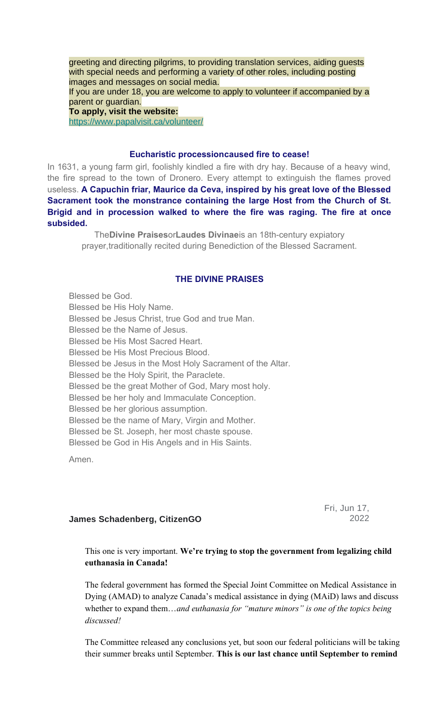greeting and directing pilgrims, to providing translation services, aiding guests with special needs and performing a variety of other roles, including posting images and messages on social media. If you are under 18, you are welcome to apply to volunteer if accompanied by a parent or guardian. **To apply, visit the website:** [https://www.papalvisit.ca/volunteer/](https://antigonishdiocese.us11.list-manage.com/track/click?u=46108c95b96680ff598b4aa1d&id=635ff3c79c&e=60939d450d)

# **Eucharistic processioncaused fire to cease!**

In 1631, a young farm girl, foolishly kindled a fire with dry hay. Because of a heavy wind, the fire spread to the town of Dronero. Every attempt to extinguish the flames proved useless. **A Capuchin friar, Maurice da Ceva, inspired by his great love of the Blessed Sacrament took the monstrance containing the large Host from the Church of St. Brigid and in procession walked to where the fire was raging. The fire at once subsided.**

The**Divine Praises**or**Laudes Divinae**is an 18th-century expiatory prayer,traditionally recited during Benediction of the Blessed Sacrament.

#### **THE DIVINE PRAISES**

Blessed be God. Blessed be His Holy Name. Blessed be Jesus Christ, true God and true Man. Blessed be the Name of Jesus. Blessed be His Most Sacred Heart. Blessed be His Most Precious Blood. Blessed be Jesus in the Most Holy Sacrament of the Altar. Blessed be the Holy Spirit, the Paraclete. Blessed be the great Mother of God, Mary most holy. Blessed be her holy and Immaculate Conception. Blessed be her glorious assumption. Blessed be the name of Mary, Virgin and Mother. Blessed be St. Joseph, her most chaste spouse. Blessed be God in His Angels and in His Saints.

Amen.

Fri, Jun 17, 2022

#### **James Schadenberg, CitizenGO**

This one is very important. **We're trying to stop the government from legalizing child euthanasia in Canada!**

The federal government has formed the Special Joint Committee on Medical Assistance in Dying (AMAD) to analyze Canada's medical assistance in dying (MAiD) laws and discuss whether to expand them…*and euthanasia for "mature minors" is one of the topics being discussed!*

The Committee released any conclusions yet, but soon our federal politicians will be taking their summer breaks until September. **This is our last chance until September to remind**